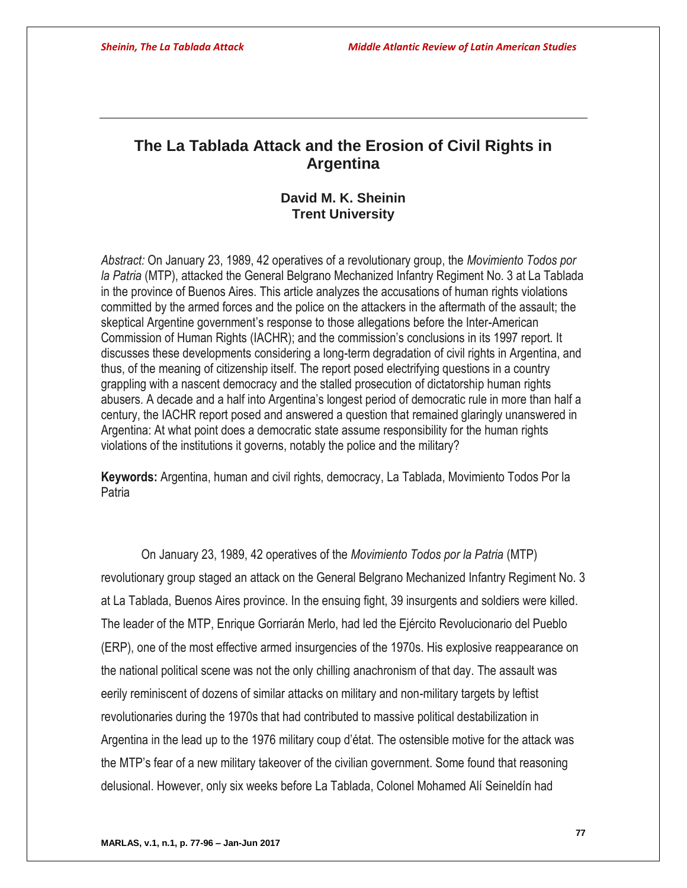# **The La Tablada Attack and the Erosion of Civil Rights in Argentina**

# **David M. K. Sheinin Trent University**

*Abstract:* On January 23, 1989, 42 operatives of a revolutionary group, the *Movimiento Todos por la Patria* (MTP), attacked the General Belgrano Mechanized Infantry Regiment No. 3 at La Tablada in the province of Buenos Aires. This article analyzes the accusations of human rights violations committed by the armed forces and the police on the attackers in the aftermath of the assault; the skeptical Argentine government's response to those allegations before the Inter-American Commission of Human Rights (IACHR); and the commission's conclusions in its 1997 report. It discusses these developments considering a long-term degradation of civil rights in Argentina, and thus, of the meaning of citizenship itself. The report posed electrifying questions in a country grappling with a nascent democracy and the stalled prosecution of dictatorship human rights abusers. A decade and a half into Argentina's longest period of democratic rule in more than half a century, the IACHR report posed and answered a question that remained glaringly unanswered in Argentina: At what point does a democratic state assume responsibility for the human rights violations of the institutions it governs, notably the police and the military?

**Keywords:** Argentina, human and civil rights, democracy, La Tablada, Movimiento Todos Por la Patria

On January 23, 1989, 42 operatives of the *Movimiento Todos por la Patria* (MTP) revolutionary group staged an attack on the General Belgrano Mechanized Infantry Regiment No. 3 at La Tablada, Buenos Aires province. In the ensuing fight, 39 insurgents and soldiers were killed. The leader of the MTP, Enrique Gorriarán Merlo, had led the Ejército Revolucionario del Pueblo (ERP), one of the most effective armed insurgencies of the 1970s. His explosive reappearance on the national political scene was not the only chilling anachronism of that day. The assault was eerily reminiscent of dozens of similar attacks on military and non-military targets by leftist revolutionaries during the 1970s that had contributed to massive political destabilization in Argentina in the lead up to the 1976 military coup d'état. The ostensible motive for the attack was the MTP's fear of a new military takeover of the civilian government. Some found that reasoning delusional. However, only six weeks before La Tablada, Colonel Mohamed Alí Seineldín had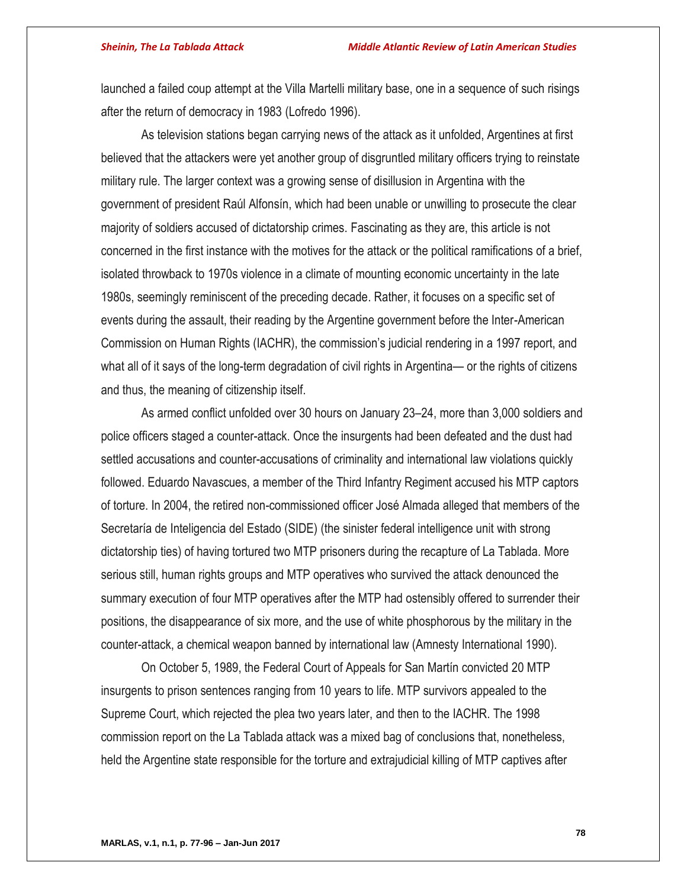launched a failed coup attempt at the Villa Martelli military base, one in a sequence of such risings after the return of democracy in 1983 (Lofredo 1996).

As television stations began carrying news of the attack as it unfolded, Argentines at first believed that the attackers were yet another group of disgruntled military officers trying to reinstate military rule. The larger context was a growing sense of disillusion in Argentina with the government of president Raúl Alfonsín, which had been unable or unwilling to prosecute the clear majority of soldiers accused of dictatorship crimes. Fascinating as they are, this article is not concerned in the first instance with the motives for the attack or the political ramifications of a brief, isolated throwback to 1970s violence in a climate of mounting economic uncertainty in the late 1980s, seemingly reminiscent of the preceding decade. Rather, it focuses on a specific set of events during the assault, their reading by the Argentine government before the Inter-American Commission on Human Rights (IACHR), the commission's judicial rendering in a 1997 report, and what all of it says of the long-term degradation of civil rights in Argentina— or the rights of citizens and thus, the meaning of citizenship itself.

As armed conflict unfolded over 30 hours on January 23–24, more than 3,000 soldiers and police officers staged a counter-attack. Once the insurgents had been defeated and the dust had settled accusations and counter-accusations of criminality and international law violations quickly followed. Eduardo Navascues, a member of the Third Infantry Regiment accused his MTP captors of torture. In 2004, the retired non-commissioned officer José Almada alleged that members of the Secretaría de Inteligencia del Estado (SIDE) (the sinister federal intelligence unit with strong dictatorship ties) of having tortured two MTP prisoners during the recapture of La Tablada. More serious still, human rights groups and MTP operatives who survived the attack denounced the summary execution of four MTP operatives after the MTP had ostensibly offered to surrender their positions, the disappearance of six more, and the use of white phosphorous by the military in the counter-attack, a chemical weapon banned by international law (Amnesty International 1990).

On October 5, 1989, the Federal Court of Appeals for San Martín convicted 20 MTP insurgents to prison sentences ranging from 10 years to life. MTP survivors appealed to the Supreme Court, which rejected the plea two years later, and then to the IACHR. The 1998 commission report on the La Tablada attack was a mixed bag of conclusions that, nonetheless, held the Argentine state responsible for the torture and extrajudicial killing of MTP captives after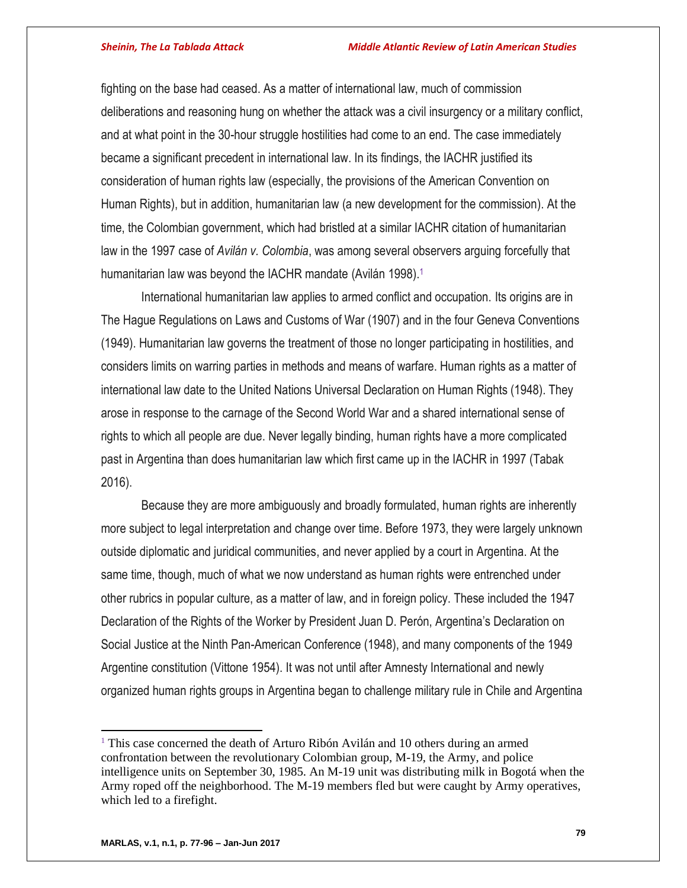fighting on the base had ceased. As a matter of international law, much of commission deliberations and reasoning hung on whether the attack was a civil insurgency or a military conflict, and at what point in the 30-hour struggle hostilities had come to an end. The case immediately became a significant precedent in international law. In its findings, the IACHR justified its consideration of human rights law (especially, the provisions of the American Convention on Human Rights), but in addition, humanitarian law (a new development for the commission). At the time, the Colombian government, which had bristled at a similar IACHR citation of humanitarian law in the 1997 case of *Avilán v. Colombia*, was among several observers arguing forcefully that humanitarian law was beyond the IACHR mandate (Avilán 1998).<sup>1</sup>

International humanitarian law applies to armed conflict and occupation. Its origins are in The Hague Regulations on Laws and Customs of War (1907) and in the four Geneva Conventions (1949). Humanitarian law governs the treatment of those no longer participating in hostilities, and considers limits on warring parties in methods and means of warfare. Human rights as a matter of international law date to the United Nations Universal Declaration on Human Rights (1948). They arose in response to the carnage of the Second World War and a shared international sense of rights to which all people are due. Never legally binding, human rights have a more complicated past in Argentina than does humanitarian law which first came up in the IACHR in 1997 (Tabak 2016).

Because they are more ambiguously and broadly formulated, human rights are inherently more subject to legal interpretation and change over time. Before 1973, they were largely unknown outside diplomatic and juridical communities, and never applied by a court in Argentina. At the same time, though, much of what we now understand as human rights were entrenched under other rubrics in popular culture, as a matter of law, and in foreign policy. These included the 1947 Declaration of the Rights of the Worker by President Juan D. Perón, Argentina's Declaration on Social Justice at the Ninth Pan-American Conference (1948), and many components of the 1949 Argentine constitution (Vittone 1954). It was not until after Amnesty International and newly organized human rights groups in Argentina began to challenge military rule in Chile and Argentina

 $\overline{a}$ 

<sup>&</sup>lt;sup>1</sup> This case concerned the death of Arturo Ribón Avilán and 10 others during an armed confrontation between the revolutionary Colombian group, M-19, the Army, and police intelligence units on September 30, 1985. An M-19 unit was distributing milk in Bogotá when the Army roped off the neighborhood. The M-19 members fled but were caught by Army operatives, which led to a firefight.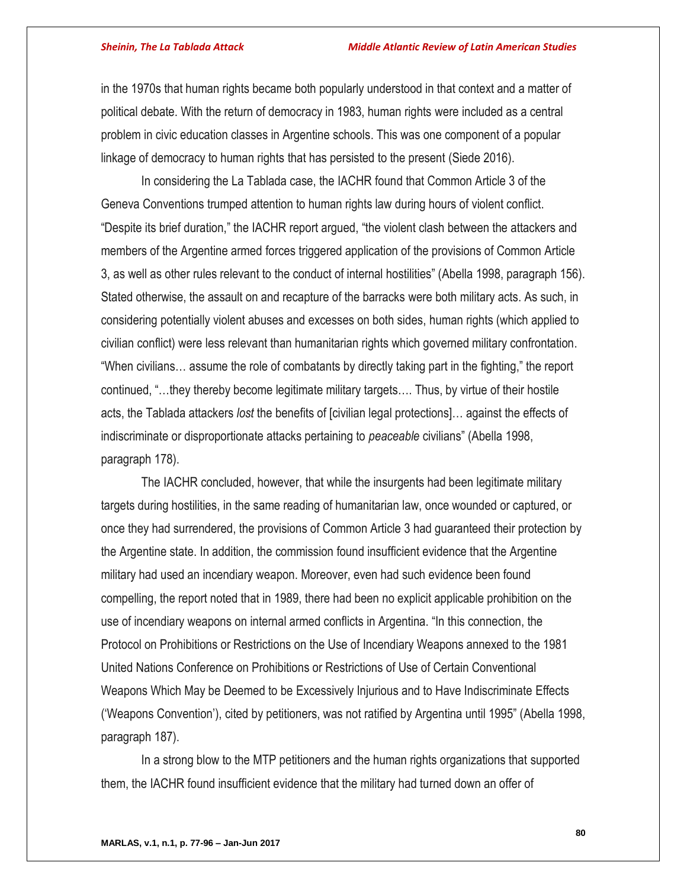in the 1970s that human rights became both popularly understood in that context and a matter of political debate. With the return of democracy in 1983, human rights were included as a central problem in civic education classes in Argentine schools. This was one component of a popular linkage of democracy to human rights that has persisted to the present (Siede 2016).

In considering the La Tablada case, the IACHR found that Common Article 3 of the Geneva Conventions trumped attention to human rights law during hours of violent conflict. "Despite its brief duration," the IACHR report argued, "the violent clash between the attackers and members of the Argentine armed forces triggered application of the provisions of Common Article 3, as well as other rules relevant to the conduct of internal hostilities" (Abella 1998, paragraph 156). Stated otherwise, the assault on and recapture of the barracks were both military acts. As such, in considering potentially violent abuses and excesses on both sides, human rights (which applied to civilian conflict) were less relevant than humanitarian rights which governed military confrontation. "When civilians… assume the role of combatants by directly taking part in the fighting," the report continued, "…they thereby become legitimate military targets…. Thus, by virtue of their hostile acts, the Tablada attackers *lost* the benefits of [civilian legal protections]… against the effects of indiscriminate or disproportionate attacks pertaining to *peaceable* civilians" (Abella 1998, paragraph 178).

The IACHR concluded, however, that while the insurgents had been legitimate military targets during hostilities, in the same reading of humanitarian law, once wounded or captured, or once they had surrendered, the provisions of Common Article 3 had guaranteed their protection by the Argentine state. In addition, the commission found insufficient evidence that the Argentine military had used an incendiary weapon. Moreover, even had such evidence been found compelling, the report noted that in 1989, there had been no explicit applicable prohibition on the use of incendiary weapons on internal armed conflicts in Argentina. "In this connection, the Protocol on Prohibitions or Restrictions on the Use of Incendiary Weapons annexed to the 1981 United Nations Conference on Prohibitions or Restrictions of Use of Certain Conventional Weapons Which May be Deemed to be Excessively Injurious and to Have Indiscriminate Effects ('Weapons Convention'), cited by petitioners, was not ratified by Argentina until 1995" (Abella 1998, paragraph 187).

In a strong blow to the MTP petitioners and the human rights organizations that supported them, the IACHR found insufficient evidence that the military had turned down an offer of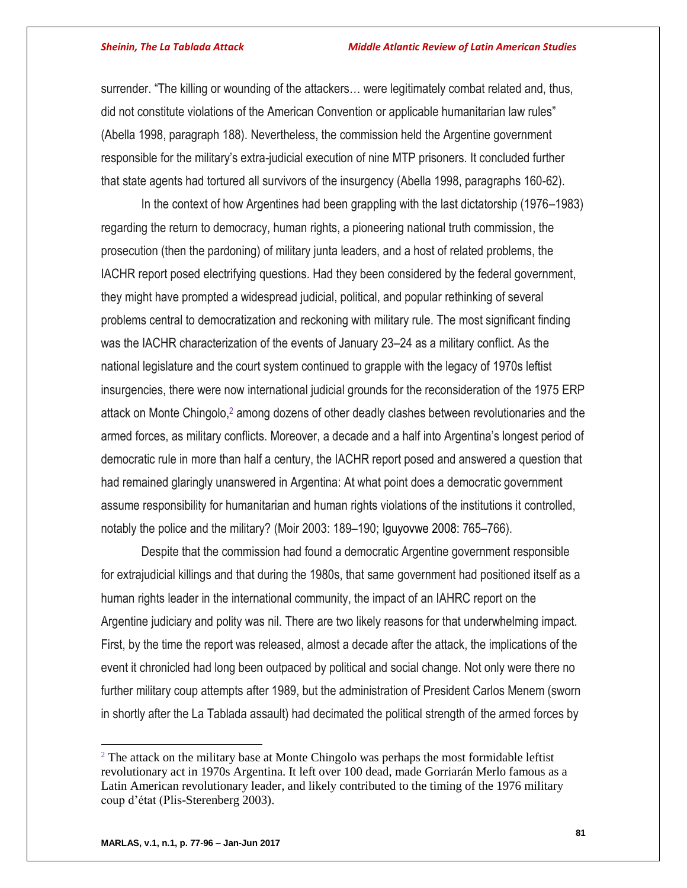surrender. "The killing or wounding of the attackers… were legitimately combat related and, thus, did not constitute violations of the American Convention or applicable humanitarian law rules" (Abella 1998, paragraph 188). Nevertheless, the commission held the Argentine government responsible for the military's extra-judicial execution of nine MTP prisoners. It concluded further that state agents had tortured all survivors of the insurgency (Abella 1998, paragraphs 160-62).

In the context of how Argentines had been grappling with the last dictatorship (1976–1983) regarding the return to democracy, human rights, a pioneering national truth commission, the prosecution (then the pardoning) of military junta leaders, and a host of related problems, the IACHR report posed electrifying questions. Had they been considered by the federal government, they might have prompted a widespread judicial, political, and popular rethinking of several problems central to democratization and reckoning with military rule. The most significant finding was the IACHR characterization of the events of January 23–24 as a military conflict. As the national legislature and the court system continued to grapple with the legacy of 1970s leftist insurgencies, there were now international judicial grounds for the reconsideration of the 1975 ERP attack on Monte Chingolo,<sup>2</sup> among dozens of other deadly clashes between revolutionaries and the armed forces, as military conflicts. Moreover, a decade and a half into Argentina's longest period of democratic rule in more than half a century, the IACHR report posed and answered a question that had remained glaringly unanswered in Argentina: At what point does a democratic government assume responsibility for humanitarian and human rights violations of the institutions it controlled, notably the police and the military? (Moir 2003: 189–190; Iguyovwe 2008: 765–766).

Despite that the commission had found a democratic Argentine government responsible for extrajudicial killings and that during the 1980s, that same government had positioned itself as a human rights leader in the international community, the impact of an IAHRC report on the Argentine judiciary and polity was nil. There are two likely reasons for that underwhelming impact. First, by the time the report was released, almost a decade after the attack, the implications of the event it chronicled had long been outpaced by political and social change. Not only were there no further military coup attempts after 1989, but the administration of President Carlos Menem (sworn in shortly after the La Tablada assault) had decimated the political strength of the armed forces by

 $\overline{a}$ 

 $2^2$  The attack on the military base at Monte Chingolo was perhaps the most formidable leftist revolutionary act in 1970s Argentina. It left over 100 dead, made Gorriarán Merlo famous as a Latin American revolutionary leader, and likely contributed to the timing of the 1976 military coup d'état (Plis-Sterenberg 2003).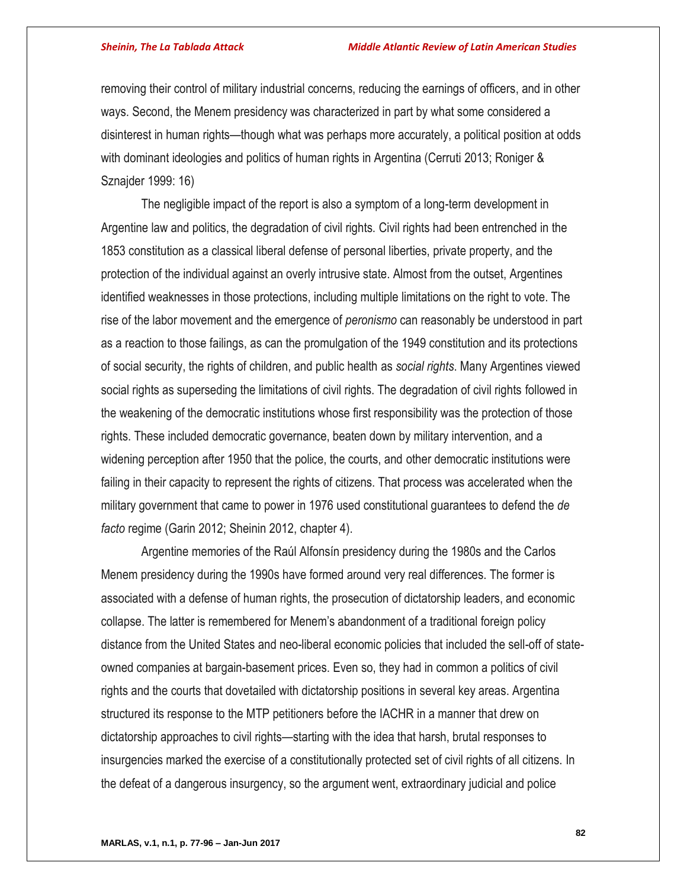removing their control of military industrial concerns, reducing the earnings of officers, and in other ways. Second, the Menem presidency was characterized in part by what some considered a disinterest in human rights—though what was perhaps more accurately, a political position at odds with dominant ideologies and politics of human rights in Argentina (Cerruti 2013; Roniger & Sznajder 1999: 16)

The negligible impact of the report is also a symptom of a long-term development in Argentine law and politics, the degradation of civil rights. Civil rights had been entrenched in the 1853 constitution as a classical liberal defense of personal liberties, private property, and the protection of the individual against an overly intrusive state. Almost from the outset, Argentines identified weaknesses in those protections, including multiple limitations on the right to vote. The rise of the labor movement and the emergence of *peronismo* can reasonably be understood in part as a reaction to those failings, as can the promulgation of the 1949 constitution and its protections of social security, the rights of children, and public health as *social rights*. Many Argentines viewed social rights as superseding the limitations of civil rights. The degradation of civil rights followed in the weakening of the democratic institutions whose first responsibility was the protection of those rights. These included democratic governance, beaten down by military intervention, and a widening perception after 1950 that the police, the courts, and other democratic institutions were failing in their capacity to represent the rights of citizens. That process was accelerated when the military government that came to power in 1976 used constitutional guarantees to defend the *de facto* regime (Garin 2012; Sheinin 2012, chapter 4).

Argentine memories of the Raúl Alfonsín presidency during the 1980s and the Carlos Menem presidency during the 1990s have formed around very real differences. The former is associated with a defense of human rights, the prosecution of dictatorship leaders, and economic collapse. The latter is remembered for Menem's abandonment of a traditional foreign policy distance from the United States and neo-liberal economic policies that included the sell-off of stateowned companies at bargain-basement prices. Even so, they had in common a politics of civil rights and the courts that dovetailed with dictatorship positions in several key areas. Argentina structured its response to the MTP petitioners before the IACHR in a manner that drew on dictatorship approaches to civil rights—starting with the idea that harsh, brutal responses to insurgencies marked the exercise of a constitutionally protected set of civil rights of all citizens. In the defeat of a dangerous insurgency, so the argument went, extraordinary judicial and police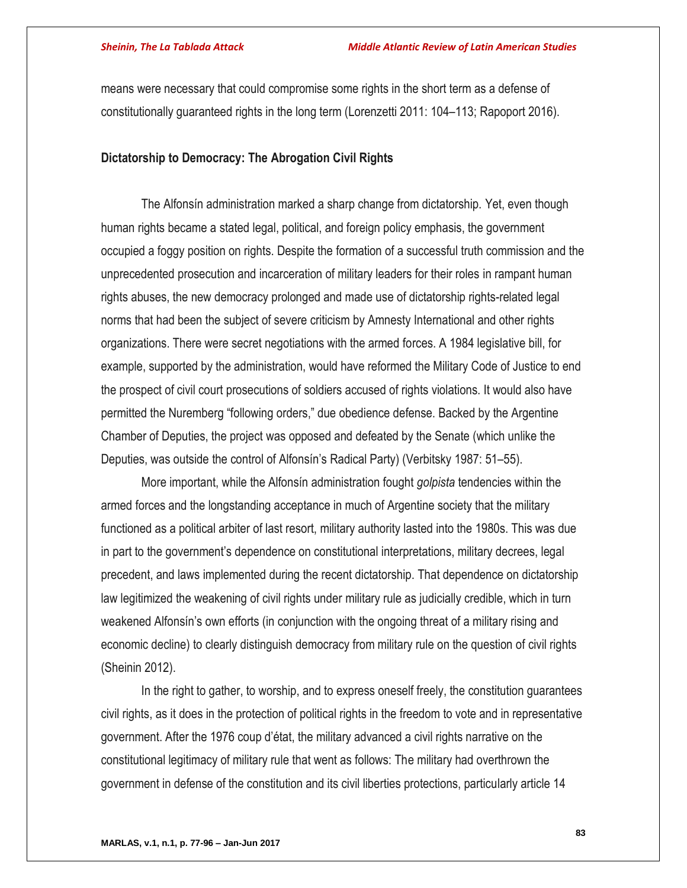means were necessary that could compromise some rights in the short term as a defense of constitutionally guaranteed rights in the long term (Lorenzetti 2011: 104–113; Rapoport 2016).

## **Dictatorship to Democracy: The Abrogation Civil Rights**

The Alfonsín administration marked a sharp change from dictatorship. Yet, even though human rights became a stated legal, political, and foreign policy emphasis, the government occupied a foggy position on rights. Despite the formation of a successful truth commission and the unprecedented prosecution and incarceration of military leaders for their roles in rampant human rights abuses, the new democracy prolonged and made use of dictatorship rights-related legal norms that had been the subject of severe criticism by Amnesty International and other rights organizations. There were secret negotiations with the armed forces. A 1984 legislative bill, for example, supported by the administration, would have reformed the Military Code of Justice to end the prospect of civil court prosecutions of soldiers accused of rights violations. It would also have permitted the Nuremberg "following orders," due obedience defense. Backed by the Argentine Chamber of Deputies, the project was opposed and defeated by the Senate (which unlike the Deputies, was outside the control of Alfonsín's Radical Party) (Verbitsky 1987: 51–55).

More important, while the Alfonsín administration fought *golpista* tendencies within the armed forces and the longstanding acceptance in much of Argentine society that the military functioned as a political arbiter of last resort, military authority lasted into the 1980s. This was due in part to the government's dependence on constitutional interpretations, military decrees, legal precedent, and laws implemented during the recent dictatorship. That dependence on dictatorship law legitimized the weakening of civil rights under military rule as judicially credible, which in turn weakened Alfonsín's own efforts (in conjunction with the ongoing threat of a military rising and economic decline) to clearly distinguish democracy from military rule on the question of civil rights (Sheinin 2012).

In the right to gather, to worship, and to express oneself freely, the constitution guarantees civil rights, as it does in the protection of political rights in the freedom to vote and in representative government. After the 1976 coup d'état, the military advanced a civil rights narrative on the constitutional legitimacy of military rule that went as follows: The military had overthrown the government in defense of the constitution and its civil liberties protections, particularly article 14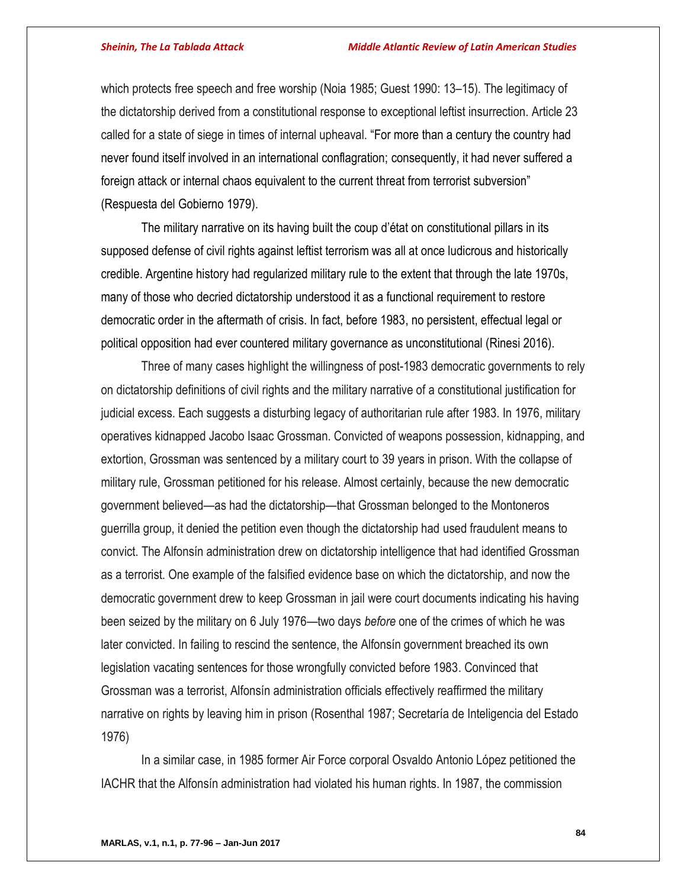which protects free speech and free worship (Noia 1985; Guest 1990: 13–15). The legitimacy of the dictatorship derived from a constitutional response to exceptional leftist insurrection. Article 23 called for a state of siege in times of internal upheaval. "For more than a century the country had never found itself involved in an international conflagration; consequently, it had never suffered a foreign attack or internal chaos equivalent to the current threat from terrorist subversion" (Respuesta del Gobierno 1979).

The military narrative on its having built the coup d'état on constitutional pillars in its supposed defense of civil rights against leftist terrorism was all at once ludicrous and historically credible. Argentine history had regularized military rule to the extent that through the late 1970s, many of those who decried dictatorship understood it as a functional requirement to restore democratic order in the aftermath of crisis. In fact, before 1983, no persistent, effectual legal or political opposition had ever countered military governance as unconstitutional (Rinesi 2016).

Three of many cases highlight the willingness of post-1983 democratic governments to rely on dictatorship definitions of civil rights and the military narrative of a constitutional justification for judicial excess. Each suggests a disturbing legacy of authoritarian rule after 1983. In 1976, military operatives kidnapped Jacobo Isaac Grossman. Convicted of weapons possession, kidnapping, and extortion, Grossman was sentenced by a military court to 39 years in prison. With the collapse of military rule, Grossman petitioned for his release. Almost certainly, because the new democratic government believed—as had the dictatorship—that Grossman belonged to the Montoneros guerrilla group, it denied the petition even though the dictatorship had used fraudulent means to convict. The Alfonsín administration drew on dictatorship intelligence that had identified Grossman as a terrorist. One example of the falsified evidence base on which the dictatorship, and now the democratic government drew to keep Grossman in jail were court documents indicating his having been seized by the military on 6 July 1976—two days *before* one of the crimes of which he was later convicted. In failing to rescind the sentence, the Alfonsín government breached its own legislation vacating sentences for those wrongfully convicted before 1983. Convinced that Grossman was a terrorist, Alfonsín administration officials effectively reaffirmed the military narrative on rights by leaving him in prison (Rosenthal 1987; Secretaría de Inteligencia del Estado 1976)

In a similar case, in 1985 former Air Force corporal Osvaldo Antonio López petitioned the IACHR that the Alfonsín administration had violated his human rights. In 1987, the commission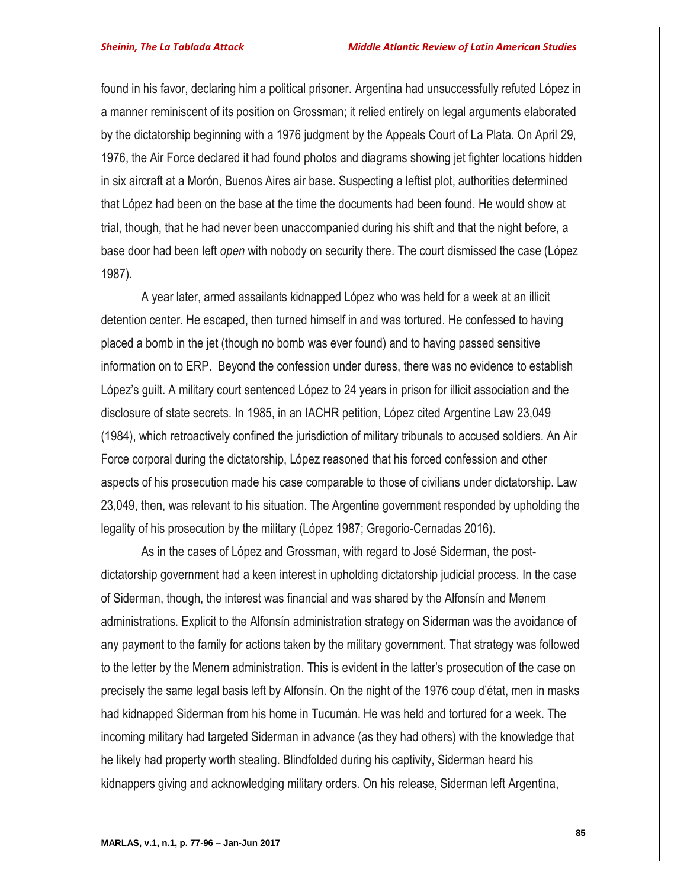found in his favor, declaring him a political prisoner. Argentina had unsuccessfully refuted López in a manner reminiscent of its position on Grossman; it relied entirely on legal arguments elaborated by the dictatorship beginning with a 1976 judgment by the Appeals Court of La Plata. On April 29, 1976, the Air Force declared it had found photos and diagrams showing jet fighter locations hidden in six aircraft at a Morón, Buenos Aires air base. Suspecting a leftist plot, authorities determined that López had been on the base at the time the documents had been found. He would show at trial, though, that he had never been unaccompanied during his shift and that the night before, a base door had been left *open* with nobody on security there. The court dismissed the case (López 1987).

A year later, armed assailants kidnapped López who was held for a week at an illicit detention center. He escaped, then turned himself in and was tortured. He confessed to having placed a bomb in the jet (though no bomb was ever found) and to having passed sensitive information on to ERP. Beyond the confession under duress, there was no evidence to establish López's guilt. A military court sentenced López to 24 years in prison for illicit association and the disclosure of state secrets. In 1985, in an IACHR petition, López cited Argentine Law 23,049 (1984), which retroactively confined the jurisdiction of military tribunals to accused soldiers. An Air Force corporal during the dictatorship, López reasoned that his forced confession and other aspects of his prosecution made his case comparable to those of civilians under dictatorship. Law 23,049, then, was relevant to his situation. The Argentine government responded by upholding the legality of his prosecution by the military (López 1987; Gregorio-Cernadas 2016).

As in the cases of López and Grossman, with regard to José Siderman, the postdictatorship government had a keen interest in upholding dictatorship judicial process. In the case of Siderman, though, the interest was financial and was shared by the Alfonsín and Menem administrations. Explicit to the Alfonsín administration strategy on Siderman was the avoidance of any payment to the family for actions taken by the military government. That strategy was followed to the letter by the Menem administration. This is evident in the latter's prosecution of the case on precisely the same legal basis left by Alfonsín. On the night of the 1976 coup d'état, men in masks had kidnapped Siderman from his home in Tucumán. He was held and tortured for a week. The incoming military had targeted Siderman in advance (as they had others) with the knowledge that he likely had property worth stealing. Blindfolded during his captivity, Siderman heard his kidnappers giving and acknowledging military orders. On his release, Siderman left Argentina,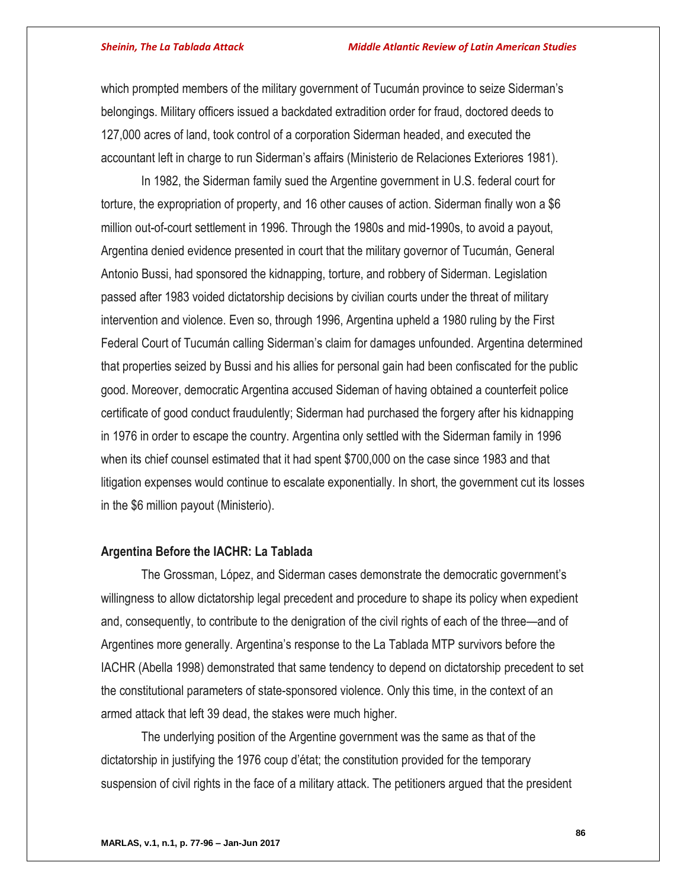which prompted members of the military government of Tucumán province to seize Siderman's belongings. Military officers issued a backdated extradition order for fraud, doctored deeds to 127,000 acres of land, took control of a corporation Siderman headed, and executed the accountant left in charge to run Siderman's affairs (Ministerio de Relaciones Exteriores 1981).

In 1982, the Siderman family sued the Argentine government in U.S. federal court for torture, the expropriation of property, and 16 other causes of action. Siderman finally won a \$6 million out-of-court settlement in 1996. Through the 1980s and mid-1990s, to avoid a payout, Argentina denied evidence presented in court that the military governor of Tucumán, General Antonio Bussi, had sponsored the kidnapping, torture, and robbery of Siderman. Legislation passed after 1983 voided dictatorship decisions by civilian courts under the threat of military intervention and violence. Even so, through 1996, Argentina upheld a 1980 ruling by the First Federal Court of Tucumán calling Siderman's claim for damages unfounded. Argentina determined that properties seized by Bussi and his allies for personal gain had been confiscated for the public good. Moreover, democratic Argentina accused Sideman of having obtained a counterfeit police certificate of good conduct fraudulently; Siderman had purchased the forgery after his kidnapping in 1976 in order to escape the country. Argentina only settled with the Siderman family in 1996 when its chief counsel estimated that it had spent \$700,000 on the case since 1983 and that litigation expenses would continue to escalate exponentially. In short, the government cut its losses in the \$6 million payout (Ministerio).

## **Argentina Before the IACHR: La Tablada**

The Grossman, López, and Siderman cases demonstrate the democratic government's willingness to allow dictatorship legal precedent and procedure to shape its policy when expedient and, consequently, to contribute to the denigration of the civil rights of each of the three—and of Argentines more generally. Argentina's response to the La Tablada MTP survivors before the IACHR (Abella 1998) demonstrated that same tendency to depend on dictatorship precedent to set the constitutional parameters of state-sponsored violence. Only this time, in the context of an armed attack that left 39 dead, the stakes were much higher.

The underlying position of the Argentine government was the same as that of the dictatorship in justifying the 1976 coup d'état; the constitution provided for the temporary suspension of civil rights in the face of a military attack. The petitioners argued that the president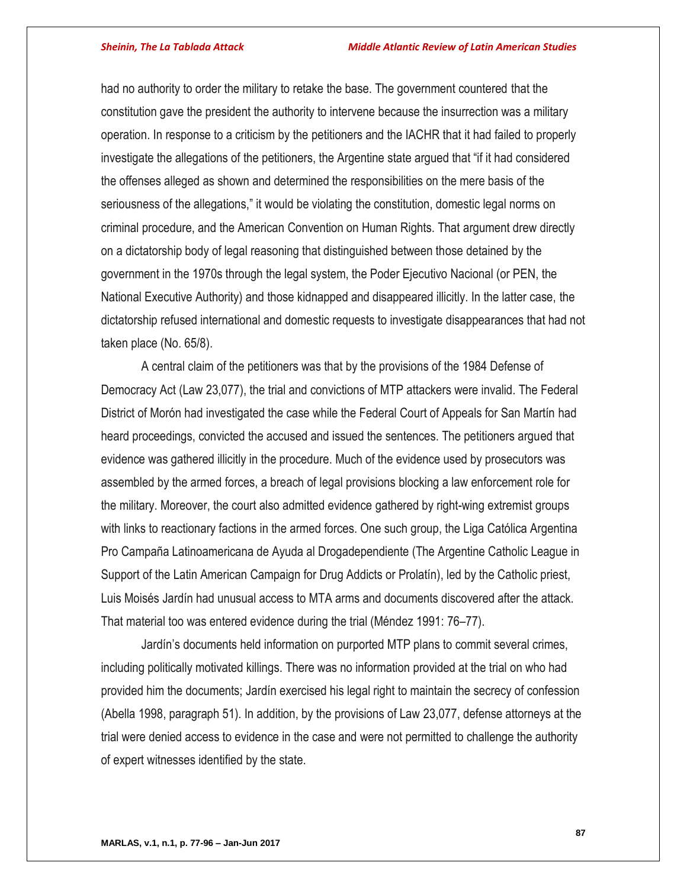had no authority to order the military to retake the base. The government countered that the constitution gave the president the authority to intervene because the insurrection was a military operation. In response to a criticism by the petitioners and the IACHR that it had failed to properly investigate the allegations of the petitioners, the Argentine state argued that "if it had considered the offenses alleged as shown and determined the responsibilities on the mere basis of the seriousness of the allegations," it would be violating the constitution, domestic legal norms on criminal procedure, and the American Convention on Human Rights. That argument drew directly on a dictatorship body of legal reasoning that distinguished between those detained by the government in the 1970s through the legal system, the Poder Ejecutivo Nacional (or PEN, the National Executive Authority) and those kidnapped and disappeared illicitly. In the latter case, the dictatorship refused international and domestic requests to investigate disappearances that had not taken place (No. 65/8).

A central claim of the petitioners was that by the provisions of the 1984 Defense of Democracy Act (Law 23,077), the trial and convictions of MTP attackers were invalid. The Federal District of Morón had investigated the case while the Federal Court of Appeals for San Martín had heard proceedings, convicted the accused and issued the sentences. The petitioners argued that evidence was gathered illicitly in the procedure. Much of the evidence used by prosecutors was assembled by the armed forces, a breach of legal provisions blocking a law enforcement role for the military. Moreover, the court also admitted evidence gathered by right-wing extremist groups with links to reactionary factions in the armed forces. One such group, the Liga Católica Argentina Pro Campaña Latinoamericana de Ayuda al Drogadependiente (The Argentine Catholic League in Support of the Latin American Campaign for Drug Addicts or Prolatín), led by the Catholic priest, Luis Moisés Jardín had unusual access to MTA arms and documents discovered after the attack. That material too was entered evidence during the trial (Méndez 1991: 76–77).

Jardín's documents held information on purported MTP plans to commit several crimes, including politically motivated killings. There was no information provided at the trial on who had provided him the documents; Jardín exercised his legal right to maintain the secrecy of confession (Abella 1998, paragraph 51). In addition, by the provisions of Law 23,077, defense attorneys at the trial were denied access to evidence in the case and were not permitted to challenge the authority of expert witnesses identified by the state.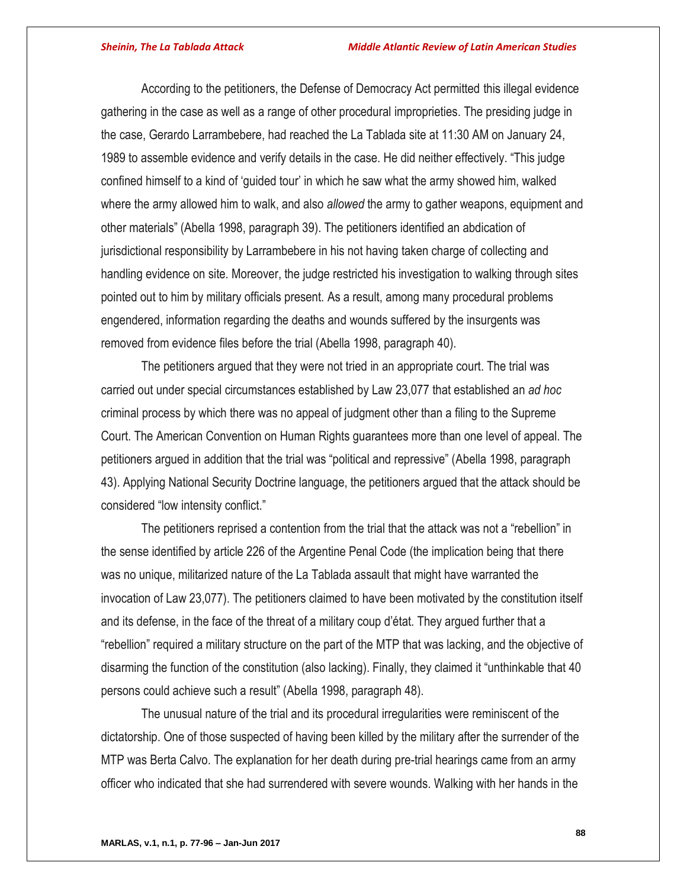According to the petitioners, the Defense of Democracy Act permitted this illegal evidence gathering in the case as well as a range of other procedural improprieties. The presiding judge in the case, Gerardo Larrambebere, had reached the La Tablada site at 11:30 AM on January 24, 1989 to assemble evidence and verify details in the case. He did neither effectively. "This judge confined himself to a kind of 'guided tour' in which he saw what the army showed him, walked where the army allowed him to walk, and also *allowed* the army to gather weapons, equipment and other materials" (Abella 1998, paragraph 39). The petitioners identified an abdication of jurisdictional responsibility by Larrambebere in his not having taken charge of collecting and handling evidence on site. Moreover, the judge restricted his investigation to walking through sites pointed out to him by military officials present. As a result, among many procedural problems engendered, information regarding the deaths and wounds suffered by the insurgents was removed from evidence files before the trial (Abella 1998, paragraph 40).

The petitioners argued that they were not tried in an appropriate court. The trial was carried out under special circumstances established by Law 23,077 that established an *ad hoc* criminal process by which there was no appeal of judgment other than a filing to the Supreme Court. The American Convention on Human Rights guarantees more than one level of appeal. The petitioners argued in addition that the trial was "political and repressive" (Abella 1998, paragraph 43). Applying National Security Doctrine language, the petitioners argued that the attack should be considered "low intensity conflict."

The petitioners reprised a contention from the trial that the attack was not a "rebellion" in the sense identified by article 226 of the Argentine Penal Code (the implication being that there was no unique, militarized nature of the La Tablada assault that might have warranted the invocation of Law 23,077). The petitioners claimed to have been motivated by the constitution itself and its defense, in the face of the threat of a military coup d'état. They argued further that a "rebellion" required a military structure on the part of the MTP that was lacking, and the objective of disarming the function of the constitution (also lacking). Finally, they claimed it "unthinkable that 40 persons could achieve such a result" (Abella 1998, paragraph 48).

The unusual nature of the trial and its procedural irregularities were reminiscent of the dictatorship. One of those suspected of having been killed by the military after the surrender of the MTP was Berta Calvo. The explanation for her death during pre-trial hearings came from an army officer who indicated that she had surrendered with severe wounds. Walking with her hands in the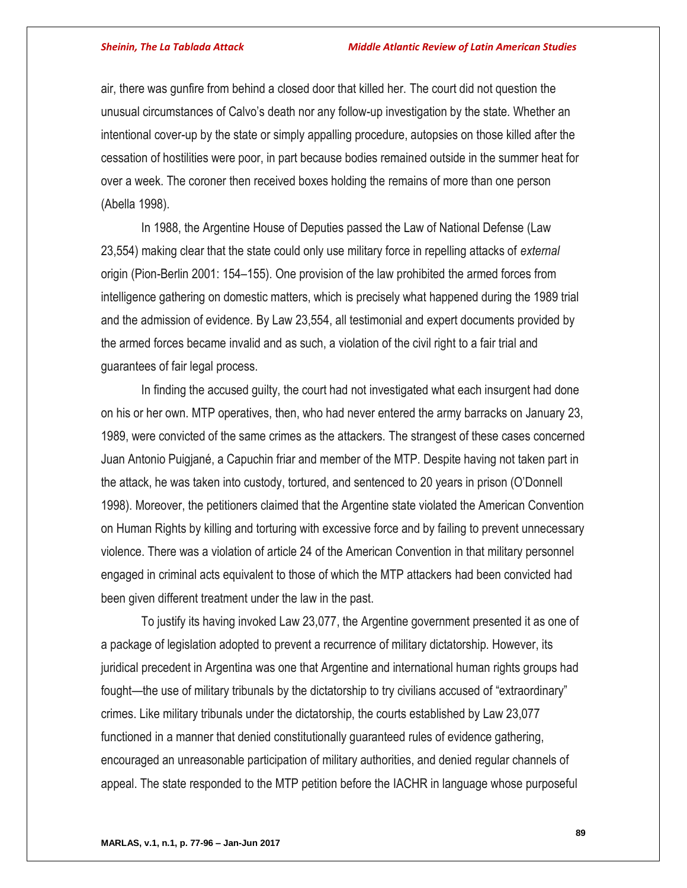air, there was gunfire from behind a closed door that killed her. The court did not question the unusual circumstances of Calvo's death nor any follow-up investigation by the state. Whether an intentional cover-up by the state or simply appalling procedure, autopsies on those killed after the cessation of hostilities were poor, in part because bodies remained outside in the summer heat for over a week. The coroner then received boxes holding the remains of more than one person (Abella 1998).

In 1988, the Argentine House of Deputies passed the Law of National Defense (Law 23,554) making clear that the state could only use military force in repelling attacks of *external*  origin (Pion-Berlin 2001: 154–155). One provision of the law prohibited the armed forces from intelligence gathering on domestic matters, which is precisely what happened during the 1989 trial and the admission of evidence. By Law 23,554, all testimonial and expert documents provided by the armed forces became invalid and as such, a violation of the civil right to a fair trial and guarantees of fair legal process.

In finding the accused guilty, the court had not investigated what each insurgent had done on his or her own. MTP operatives, then, who had never entered the army barracks on January 23, 1989, were convicted of the same crimes as the attackers. The strangest of these cases concerned Juan Antonio Puigjané, a Capuchin friar and member of the MTP. Despite having not taken part in the attack, he was taken into custody, tortured, and sentenced to 20 years in prison (O'Donnell 1998). Moreover, the petitioners claimed that the Argentine state violated the American Convention on Human Rights by killing and torturing with excessive force and by failing to prevent unnecessary violence. There was a violation of article 24 of the American Convention in that military personnel engaged in criminal acts equivalent to those of which the MTP attackers had been convicted had been given different treatment under the law in the past.

To justify its having invoked Law 23,077, the Argentine government presented it as one of a package of legislation adopted to prevent a recurrence of military dictatorship. However, its juridical precedent in Argentina was one that Argentine and international human rights groups had fought—the use of military tribunals by the dictatorship to try civilians accused of "extraordinary" crimes. Like military tribunals under the dictatorship, the courts established by Law 23,077 functioned in a manner that denied constitutionally guaranteed rules of evidence gathering, encouraged an unreasonable participation of military authorities, and denied regular channels of appeal. The state responded to the MTP petition before the IACHR in language whose purposeful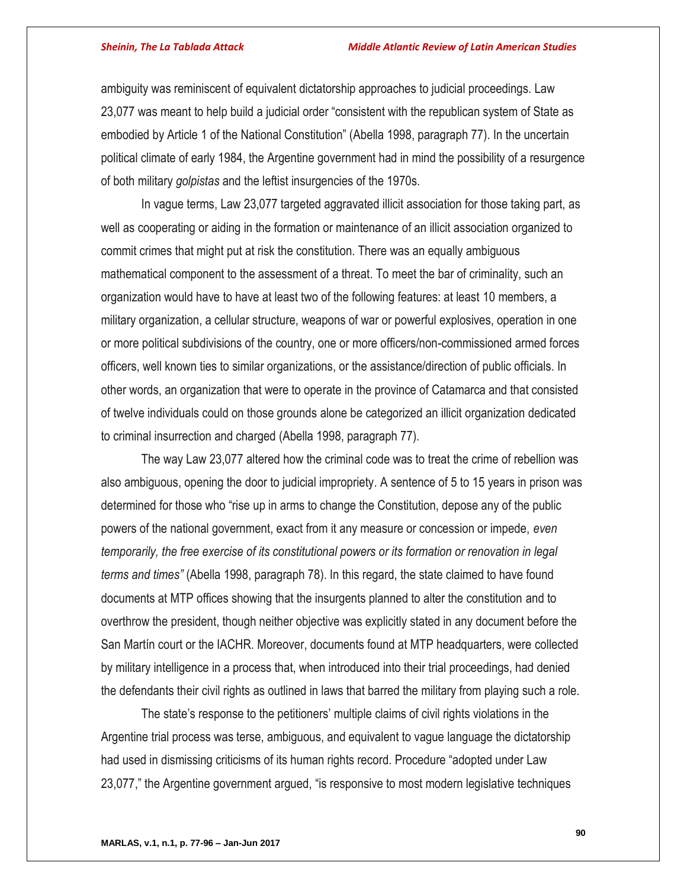ambiguity was reminiscent of equivalent dictatorship approaches to judicial proceedings. Law 23,077 was meant to help build a judicial order "consistent with the republican system of State as embodied by Article 1 of the National Constitution" (Abella 1998, paragraph 77). In the uncertain political climate of early 1984, the Argentine government had in mind the possibility of a resurgence of both military *golpistas* and the leftist insurgencies of the 1970s.

In vague terms, Law 23,077 targeted aggravated illicit association for those taking part, as well as cooperating or aiding in the formation or maintenance of an illicit association organized to commit crimes that might put at risk the constitution. There was an equally ambiguous mathematical component to the assessment of a threat. To meet the bar of criminality, such an organization would have to have at least two of the following features: at least 10 members, a military organization, a cellular structure, weapons of war or powerful explosives, operation in one or more political subdivisions of the country, one or more officers/non-commissioned armed forces officers, well known ties to similar organizations, or the assistance/direction of public officials. In other words, an organization that were to operate in the province of Catamarca and that consisted of twelve individuals could on those grounds alone be categorized an illicit organization dedicated to criminal insurrection and charged (Abella 1998, paragraph 77).

The way Law 23,077 altered how the criminal code was to treat the crime of rebellion was also ambiguous, opening the door to judicial impropriety. A sentence of 5 to 15 years in prison was determined for those who "rise up in arms to change the Constitution, depose any of the public powers of the national government, exact from it any measure or concession or impede, *even temporarily, the free exercise of its constitutional powers or its formation or renovation in legal terms and times"* (Abella 1998, paragraph 78). In this regard, the state claimed to have found documents at MTP offices showing that the insurgents planned to alter the constitution and to overthrow the president, though neither objective was explicitly stated in any document before the San Martín court or the IACHR. Moreover, documents found at MTP headquarters, were collected by military intelligence in a process that, when introduced into their trial proceedings, had denied the defendants their civil rights as outlined in laws that barred the military from playing such a role.

The state's response to the petitioners' multiple claims of civil rights violations in the Argentine trial process was terse, ambiguous, and equivalent to vague language the dictatorship had used in dismissing criticisms of its human rights record. Procedure "adopted under Law 23,077," the Argentine government argued, "is responsive to most modern legislative techniques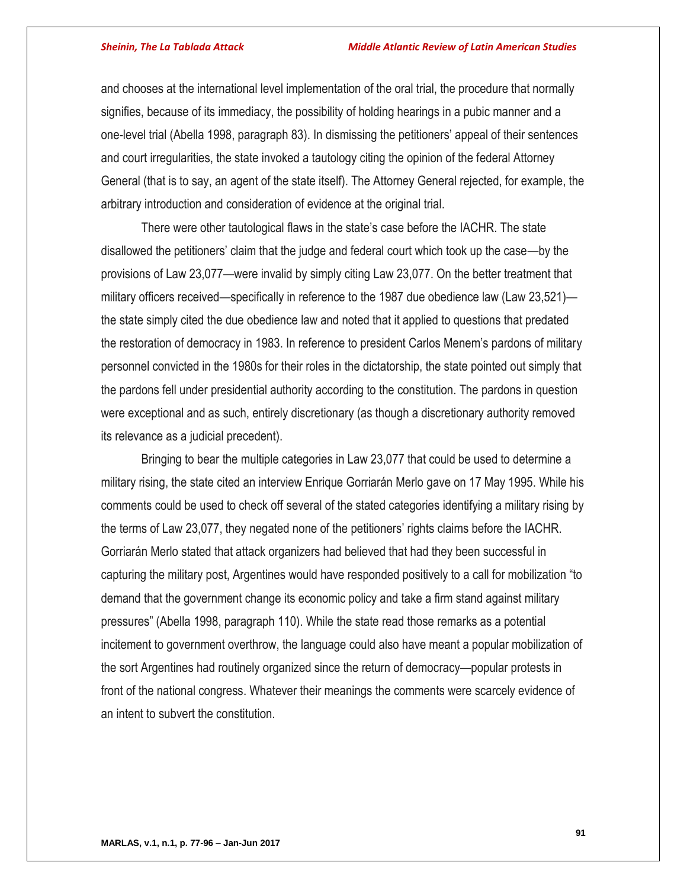and chooses at the international level implementation of the oral trial, the procedure that normally signifies, because of its immediacy, the possibility of holding hearings in a pubic manner and a one-level trial (Abella 1998, paragraph 83). In dismissing the petitioners' appeal of their sentences and court irregularities, the state invoked a tautology citing the opinion of the federal Attorney General (that is to say, an agent of the state itself). The Attorney General rejected, for example, the arbitrary introduction and consideration of evidence at the original trial.

There were other tautological flaws in the state's case before the IACHR. The state disallowed the petitioners' claim that the judge and federal court which took up the case—by the provisions of Law 23,077—were invalid by simply citing Law 23,077. On the better treatment that military officers received—specifically in reference to the 1987 due obedience law (Law 23,521) the state simply cited the due obedience law and noted that it applied to questions that predated the restoration of democracy in 1983. In reference to president Carlos Menem's pardons of military personnel convicted in the 1980s for their roles in the dictatorship, the state pointed out simply that the pardons fell under presidential authority according to the constitution. The pardons in question were exceptional and as such, entirely discretionary (as though a discretionary authority removed its relevance as a judicial precedent).

Bringing to bear the multiple categories in Law 23,077 that could be used to determine a military rising, the state cited an interview Enrique Gorriarán Merlo gave on 17 May 1995. While his comments could be used to check off several of the stated categories identifying a military rising by the terms of Law 23,077, they negated none of the petitioners' rights claims before the IACHR. Gorriarán Merlo stated that attack organizers had believed that had they been successful in capturing the military post, Argentines would have responded positively to a call for mobilization "to demand that the government change its economic policy and take a firm stand against military pressures" (Abella 1998, paragraph 110). While the state read those remarks as a potential incitement to government overthrow, the language could also have meant a popular mobilization of the sort Argentines had routinely organized since the return of democracy—popular protests in front of the national congress. Whatever their meanings the comments were scarcely evidence of an intent to subvert the constitution.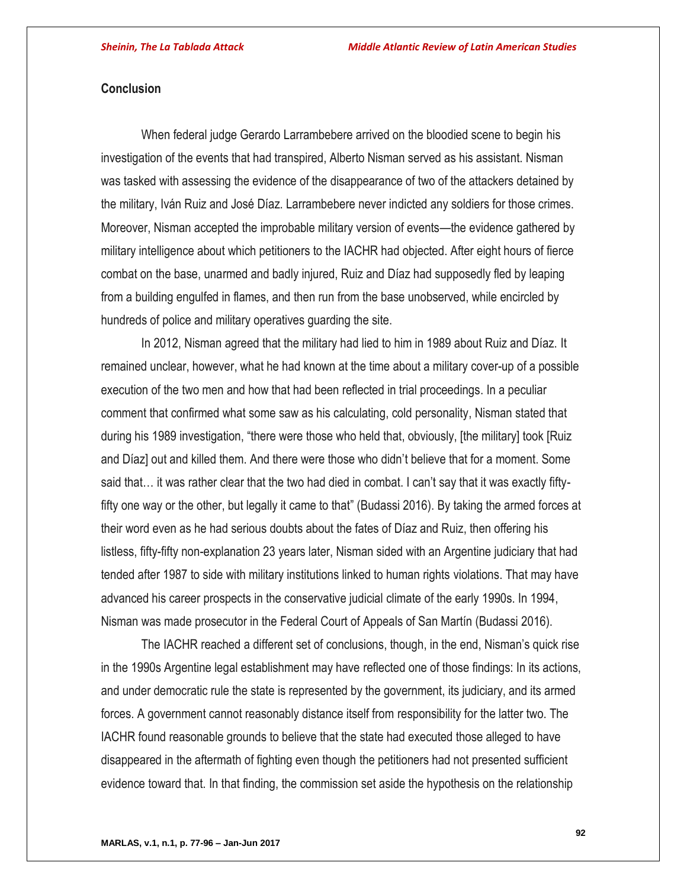# **Conclusion**

When federal judge Gerardo Larrambebere arrived on the bloodied scene to begin his investigation of the events that had transpired, Alberto Nisman served as his assistant. Nisman was tasked with assessing the evidence of the disappearance of two of the attackers detained by the military, Iván Ruiz and José Díaz. Larrambebere never indicted any soldiers for those crimes. Moreover, Nisman accepted the improbable military version of events—the evidence gathered by military intelligence about which petitioners to the IACHR had objected. After eight hours of fierce combat on the base, unarmed and badly injured, Ruiz and Díaz had supposedly fled by leaping from a building engulfed in flames, and then run from the base unobserved, while encircled by hundreds of police and military operatives guarding the site.

In 2012, Nisman agreed that the military had lied to him in 1989 about Ruiz and Díaz. It remained unclear, however, what he had known at the time about a military cover-up of a possible execution of the two men and how that had been reflected in trial proceedings. In a peculiar comment that confirmed what some saw as his calculating, cold personality, Nisman stated that during his 1989 investigation, "there were those who held that, obviously, [the military] took [Ruiz and Díaz] out and killed them. And there were those who didn't believe that for a moment. Some said that… it was rather clear that the two had died in combat. I can't say that it was exactly fiftyfifty one way or the other, but legally it came to that" (Budassi 2016). By taking the armed forces at their word even as he had serious doubts about the fates of Díaz and Ruiz, then offering his listless, fifty-fifty non-explanation 23 years later, Nisman sided with an Argentine judiciary that had tended after 1987 to side with military institutions linked to human rights violations. That may have advanced his career prospects in the conservative judicial climate of the early 1990s. In 1994, Nisman was made prosecutor in the Federal Court of Appeals of San Martín (Budassi 2016).

The IACHR reached a different set of conclusions, though, in the end, Nisman's quick rise in the 1990s Argentine legal establishment may have reflected one of those findings: In its actions, and under democratic rule the state is represented by the government, its judiciary, and its armed forces. A government cannot reasonably distance itself from responsibility for the latter two. The IACHR found reasonable grounds to believe that the state had executed those alleged to have disappeared in the aftermath of fighting even though the petitioners had not presented sufficient evidence toward that. In that finding, the commission set aside the hypothesis on the relationship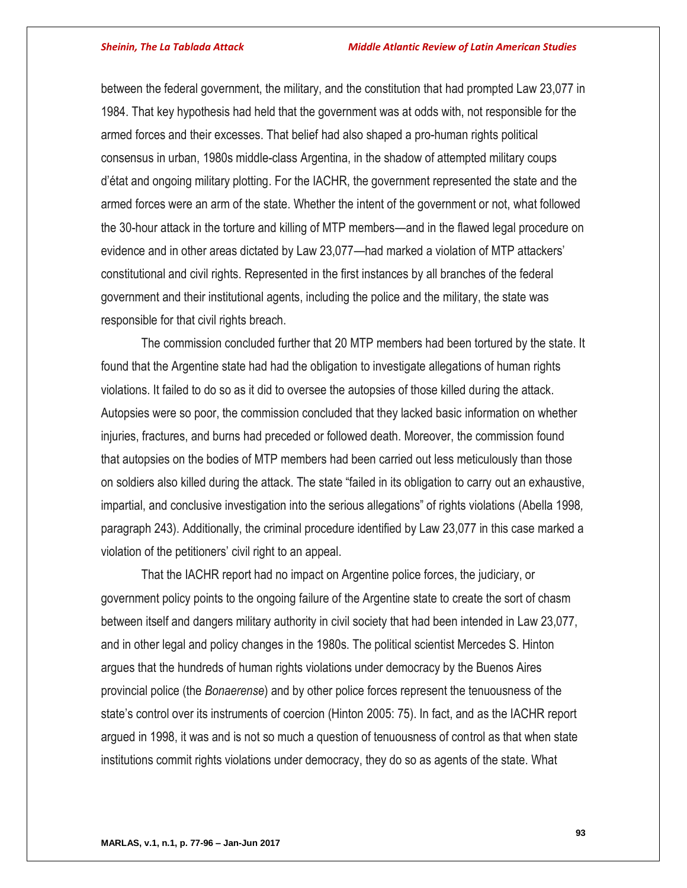between the federal government, the military, and the constitution that had prompted Law 23,077 in 1984. That key hypothesis had held that the government was at odds with, not responsible for the armed forces and their excesses. That belief had also shaped a pro-human rights political consensus in urban, 1980s middle-class Argentina, in the shadow of attempted military coups d'état and ongoing military plotting. For the IACHR, the government represented the state and the armed forces were an arm of the state. Whether the intent of the government or not, what followed the 30-hour attack in the torture and killing of MTP members—and in the flawed legal procedure on evidence and in other areas dictated by Law 23,077—had marked a violation of MTP attackers' constitutional and civil rights. Represented in the first instances by all branches of the federal government and their institutional agents, including the police and the military, the state was responsible for that civil rights breach.

The commission concluded further that 20 MTP members had been tortured by the state. It found that the Argentine state had had the obligation to investigate allegations of human rights violations. It failed to do so as it did to oversee the autopsies of those killed during the attack. Autopsies were so poor, the commission concluded that they lacked basic information on whether injuries, fractures, and burns had preceded or followed death. Moreover, the commission found that autopsies on the bodies of MTP members had been carried out less meticulously than those on soldiers also killed during the attack. The state "failed in its obligation to carry out an exhaustive, impartial, and conclusive investigation into the serious allegations" of rights violations (Abella 1998*,*  paragraph 243). Additionally, the criminal procedure identified by Law 23,077 in this case marked a violation of the petitioners' civil right to an appeal.

That the IACHR report had no impact on Argentine police forces, the judiciary, or government policy points to the ongoing failure of the Argentine state to create the sort of chasm between itself and dangers military authority in civil society that had been intended in Law 23,077, and in other legal and policy changes in the 1980s. The political scientist Mercedes S. Hinton argues that the hundreds of human rights violations under democracy by the Buenos Aires provincial police (the *Bonaerense*) and by other police forces represent the tenuousness of the state's control over its instruments of coercion (Hinton 2005: 75). In fact, and as the IACHR report argued in 1998, it was and is not so much a question of tenuousness of control as that when state institutions commit rights violations under democracy, they do so as agents of the state. What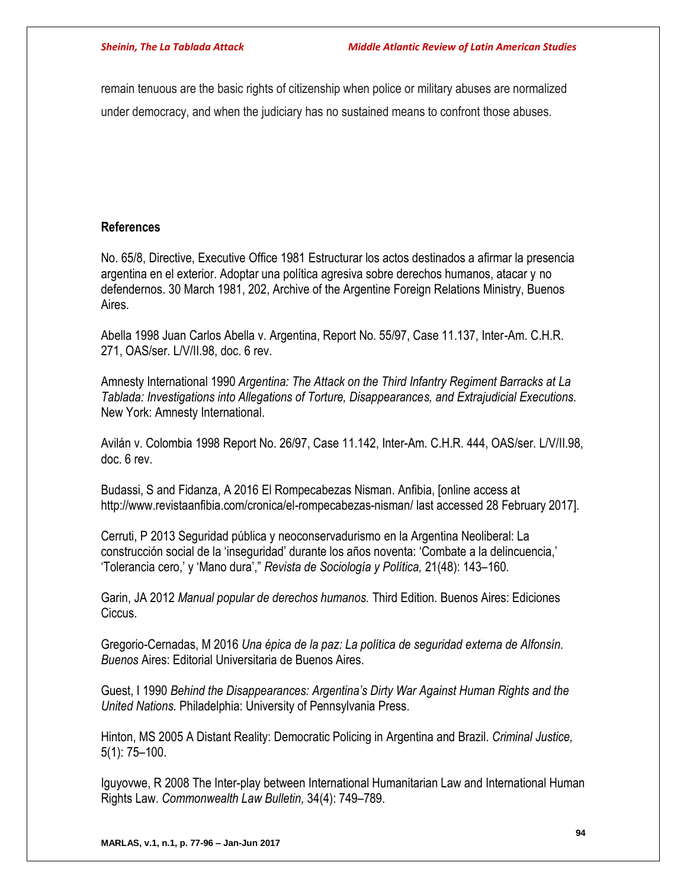remain tenuous are the basic rights of citizenship when police or military abuses are normalized under democracy, and when the judiciary has no sustained means to confront those abuses.

# **References**

No. 65/8, Directive, Executive Office 1981 Estructurar los actos destinados a afirmar la presencia argentina en el exterior. Adoptar una política agresiva sobre derechos humanos, atacar y no defendernos. 30 March 1981, 202, Archive of the Argentine Foreign Relations Ministry, Buenos Aires.

Abella 1998 Juan Carlos Abella v. Argentina, Report No. 55/97, Case 11.137, Inter-Am. C.H.R. 271, OAS/ser. L/V/II.98, doc. 6 rev.

Amnesty International 1990 *Argentina: The Attack on the Third Infantry Regiment Barracks at La Tablada: Investigations into Allegations of Torture, Disappearances, and Extrajudicial Executions.*  New York: Amnesty International.

Avilán v. Colombia 1998 Report No. 26/97, Case 11.142, Inter-Am. C.H.R. 444, OAS/ser. L/V/II.98, doc. 6 rev.

Budassi, S and Fidanza, A 2016 El Rompecabezas Nisman. Anfibia, [online access at http://www.revistaanfibia.com/cronica/el-rompecabezas-nisman/ last accessed 28 February 2017].

Cerruti, P 2013 Seguridad pública y neoconservadurismo en la Argentina Neoliberal: La construcción social de la 'inseguridad' durante los años noventa: 'Combate a la delincuencia,' 'Tolerancia cero,' y 'Mano dura'," *Revista de Sociología y Política,* 21(48): 143–160.

Garin, JA 2012 *Manual popular de derechos humanos.* Third Edition. Buenos Aires: Ediciones Ciccus.

Gregorio-Cernadas, M 2016 *Una épica de la paz: La política de seguridad externa de Alfonsín. Buenos* Aires: Editorial Universitaria de Buenos Aires.

Guest, I 1990 *Behind the Disappearances: Argentina's Dirty War Against Human Rights and the United Nations.* Philadelphia: University of Pennsylvania Press.

Hinton, MS 2005 A Distant Reality: Democratic Policing in Argentina and Brazil. *Criminal Justice,* 5(1): 75–100.

Iguyovwe, R 2008 The Inter-play between International Humanitarian Law and International Human Rights Law. *Commonwealth Law Bulletin,* 34(4): 749–789.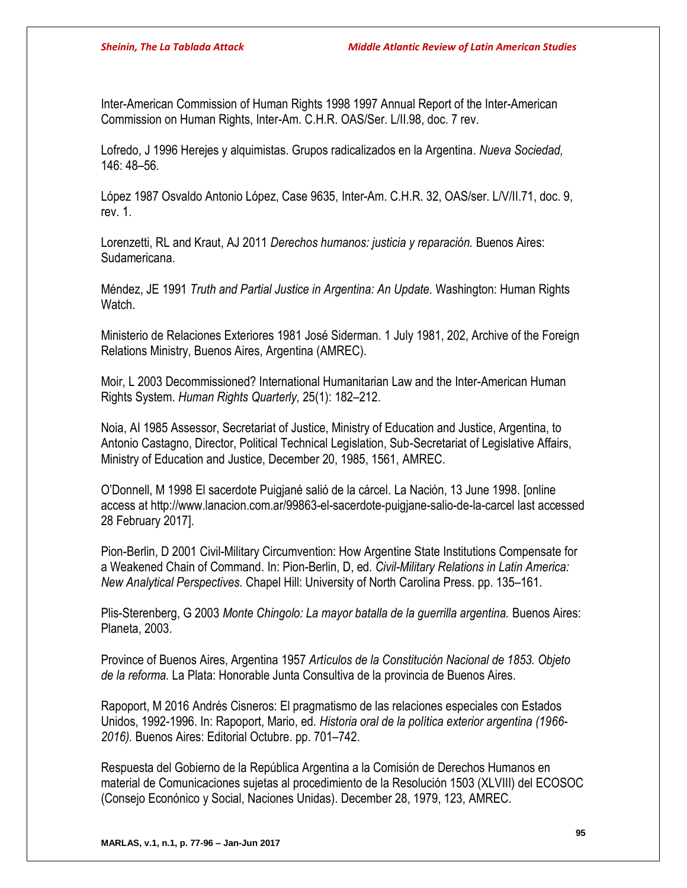Inter-American Commission of Human Rights 1998 1997 Annual Report of the Inter-American Commission on Human Rights, Inter-Am. C.H.R. OAS/Ser. L/II.98, doc. 7 rev.

Lofredo, J 1996 Herejes y alquimistas. Grupos radicalizados en la Argentina. *Nueva Sociedad,*  146: 48–56.

López 1987 Osvaldo Antonio López, Case 9635, Inter-Am. C.H.R. 32, OAS/ser. L/V/II.71, doc. 9, rev. 1.

Lorenzetti, RL and Kraut, AJ 2011 *Derechos humanos: justicia y reparación.* Buenos Aires: Sudamericana.

Méndez, JE 1991 *Truth and Partial Justice in Argentina: An Update.* Washington: Human Rights Watch.

Ministerio de Relaciones Exteriores 1981 José Siderman. 1 July 1981, 202, Archive of the Foreign Relations Ministry, Buenos Aires, Argentina (AMREC).

Moir, L 2003 Decommissioned? International Humanitarian Law and the Inter-American Human Rights System. *Human Rights Quarterly,* 25(1): 182–212.

Noia, AI 1985 Assessor, Secretariat of Justice, Ministry of Education and Justice, Argentina, to Antonio Castagno, Director, Political Technical Legislation, Sub-Secretariat of Legislative Affairs, Ministry of Education and Justice, December 20, 1985, 1561, AMREC.

O'Donnell, M 1998 El sacerdote Puigjané salió de la cárcel. La Nación, 13 June 1998. [online access at http://www.lanacion.com.ar/99863-el-sacerdote-puigjane-salio-de-la-carcel last accessed 28 February 2017].

Pion-Berlin, D 2001 Civil-Military Circumvention: How Argentine State Institutions Compensate for a Weakened Chain of Command. In: Pion-Berlin, D, ed. *Civil-Military Relations in Latin America: New Analytical Perspectives.* Chapel Hill: University of North Carolina Press. pp. 135–161.

Plis-Sterenberg, G 2003 *Monte Chingolo: La mayor batalla de la guerrilla argentina.* Buenos Aires: Planeta, 2003.

Province of Buenos Aires, Argentina 1957 *Artículos de la Constitución Nacional de 1853. Objeto de la reforma.* La Plata: Honorable Junta Consultiva de la provincia de Buenos Aires.

Rapoport, M 2016 Andrés Cisneros: El pragmatismo de las relaciones especiales con Estados Unidos, 1992-1996. In: Rapoport, Mario, ed. *Historia oral de la política exterior argentina (1966- 2016).* Buenos Aires: Editorial Octubre. pp. 701–742.

Respuesta del Gobierno de la República Argentina a la Comisión de Derechos Humanos en material de Comunicaciones sujetas al procedimiento de la Resolución 1503 (XLVIII) del ECOSOC (Consejo Econónico y Social, Naciones Unidas). December 28, 1979, 123, AMREC.